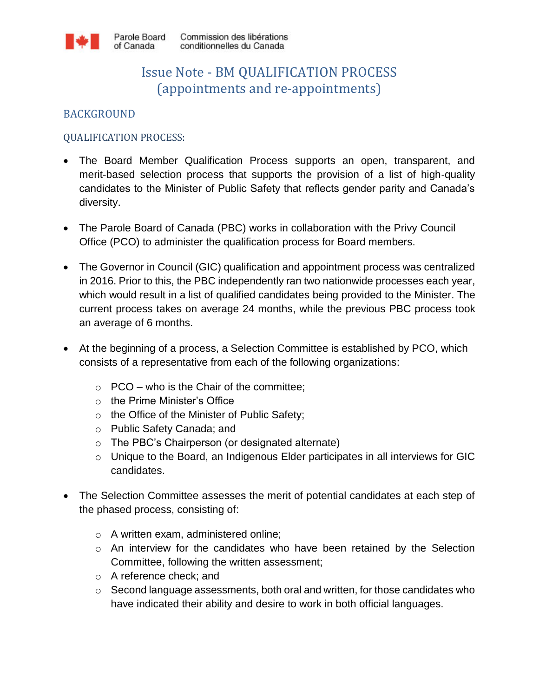

# Issue Note - BM QUALIFICATION PROCESS (appointments and re-appointments)

## BACKGROUND

#### QUALIFICATION PROCESS:

- The Board Member Qualification Process supports an open, transparent, and merit-based selection process that supports the provision of a list of high-quality candidates to the Minister of Public Safety that reflects gender parity and Canada's diversity.
- The Parole Board of Canada (PBC) works in collaboration with the Privy Council Office (PCO) to administer the qualification process for Board members.
- The Governor in Council (GIC) qualification and appointment process was centralized in 2016. Prior to this, the PBC independently ran two nationwide processes each year, which would result in a list of qualified candidates being provided to the Minister. The current process takes on average 24 months, while the previous PBC process took an average of 6 months.
- At the beginning of a process, a Selection Committee is established by PCO, which consists of a representative from each of the following organizations:
	- $\circ$  PCO who is the Chair of the committee;
	- o the Prime Minister's Office
	- $\circ$  the Office of the Minister of Public Safety;
	- o Public Safety Canada; and
	- o The PBC's Chairperson (or designated alternate)
	- o Unique to the Board, an Indigenous Elder participates in all interviews for GIC candidates.
- The Selection Committee assesses the merit of potential candidates at each step of the phased process, consisting of:
	- o A written exam, administered online;
	- o An interview for the candidates who have been retained by the Selection Committee, following the written assessment;
	- o A reference check; and
	- o Second language assessments, both oral and written, for those candidates who have indicated their ability and desire to work in both official languages.